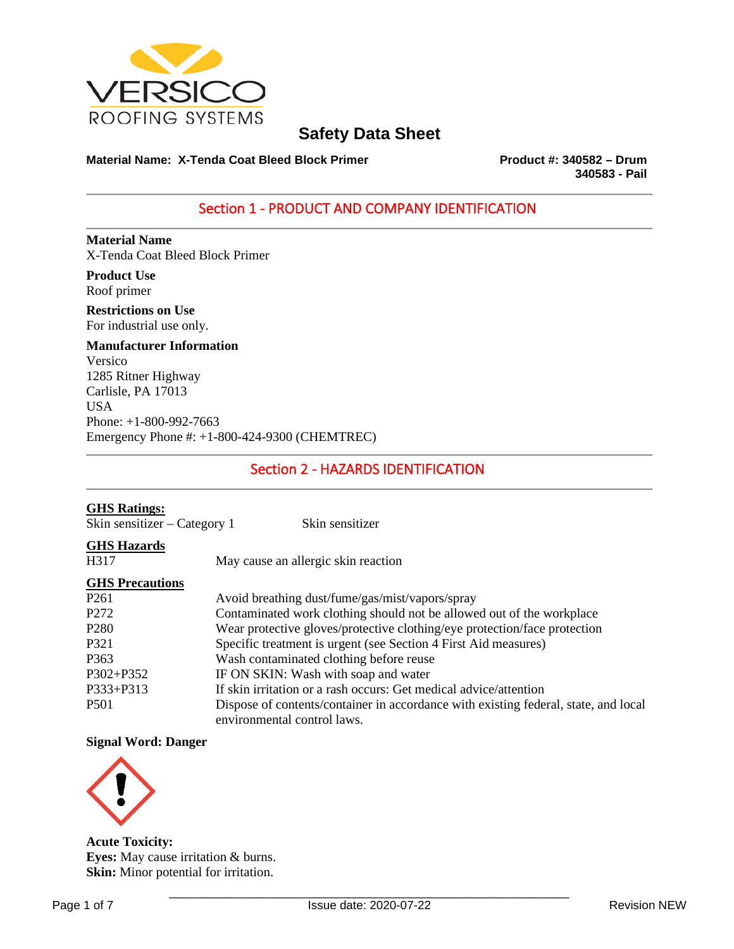

## **Material Name: X-Tenda Coat Bleed Block Primer Product #: 340582 – Drum**

**340583 - Pail** 

## Section 1 - PRODUCT AND COMPANY IDENTIFICATION

**Material Name** X-Tenda Coat Bleed Block Primer

**Product Use** Roof primer

**Restrictions on Use** For industrial use only.

**Manufacturer Information** Versico 1285 Ritner Highway Carlisle, PA 17013 USA Phone: +1-800-992-7663 Emergency Phone #: +1-800-424-9300 (CHEMTREC)

## Section 2 - HAZARDS IDENTIFICATION

## **GHS Ratings:** Skin sensitizer – Category 1 Skin sensitizer **GHS Hazards** H317 May cause an allergic skin reaction **GHS Precautions** P261 Avoid breathing dust/fume/gas/mist/vapors/spray P272 Contaminated work clothing should not be allowed out of the workplace<br>P280 Wear protective gloves/protective clothing/eve protection/face protection Wear protective gloves/protective clothing/eye protection/face protection P321 Specific treatment is urgent (see Section 4 First Aid measures) P363 Wash contaminated clothing before reuse P302+P352 IF ON SKIN: Wash with soap and water P333+P313 If skin irritation or a rash occurs: Get medical advice/attention P501 Dispose of contents/container in accordance with existing federal, state, and local environmental control laws.

## **Signal Word: Danger**



**Acute Toxicity: Eyes:** May cause irritation & burns. **Skin:** Minor potential for irritation.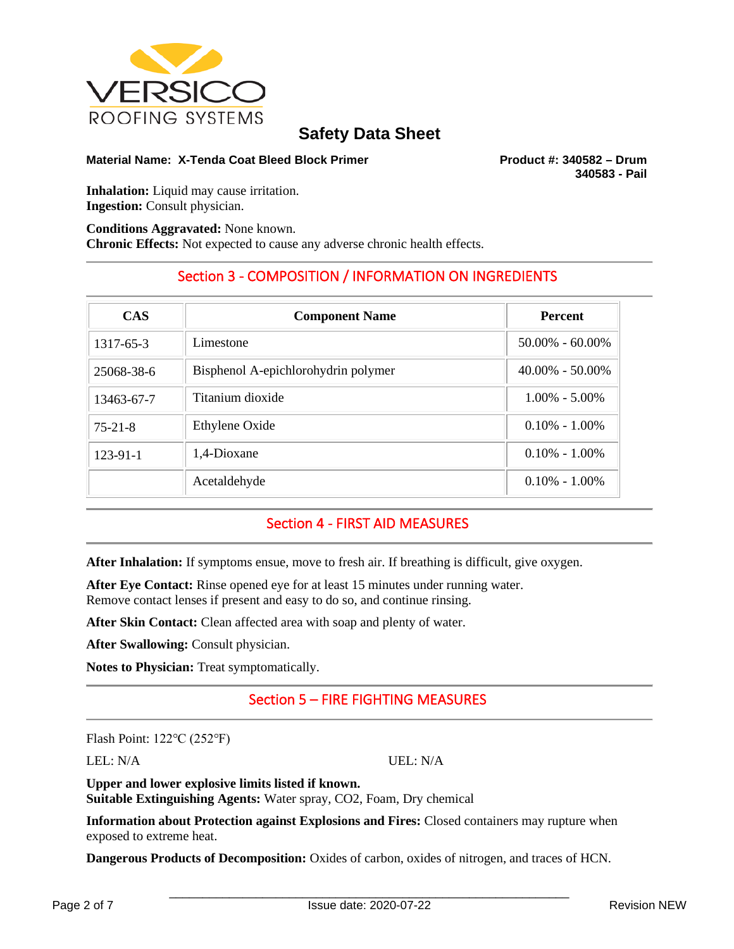

## **Material Name: X-Tenda Coat Bleed Block Primer Product #: 340582 – Drum**

**340583 - Pail** 

**Inhalation:** Liquid may cause irritation. **Ingestion:** Consult physician.

**Conditions Aggravated:** None known. **Chronic Effects:** Not expected to cause any adverse chronic health effects.

## Section 3 - COMPOSITION / INFORMATION ON INGREDIENTS

| <b>CAS</b>    | <b>Component Name</b>               | <b>Percent</b>      |
|---------------|-------------------------------------|---------------------|
| 1317-65-3     | Limestone                           | $50.00\% - 60.00\%$ |
| 25068-38-6    | Bisphenol A-epichlorohydrin polymer | $40.00\% - 50.00\%$ |
| 13463-67-7    | Titanium dioxide                    | $1.00\% - 5.00\%$   |
| $75 - 21 - 8$ | Ethylene Oxide                      | $0.10\% - 1.00\%$   |
| $123-91-1$    | 1,4-Dioxane                         | $0.10\% - 1.00\%$   |
|               | Acetaldehyde                        | $0.10\% - 1.00\%$   |

## Section 4 - FIRST AID MEASURES

**After Inhalation:** If symptoms ensue, move to fresh air. If breathing is difficult, give oxygen.

**After Eye Contact:** Rinse opened eye for at least 15 minutes under running water. Remove contact lenses if present and easy to do so, and continue rinsing.

**After Skin Contact:** Clean affected area with soap and plenty of water.

**After Swallowing:** Consult physician.

**Notes to Physician:** Treat symptomatically.

## Section 5 – FIRE FIGHTING MEASURES

Flash Point: 122℃ (252℉)

LEL: N/A UEL: N/A

**Upper and lower explosive limits listed if known. Suitable Extinguishing Agents:** Water spray, CO2, Foam, Dry chemical

**Information about Protection against Explosions and Fires:** Closed containers may rupture when exposed to extreme heat.

**Dangerous Products of Decomposition:** Oxides of carbon, oxides of nitrogen, and traces of HCN.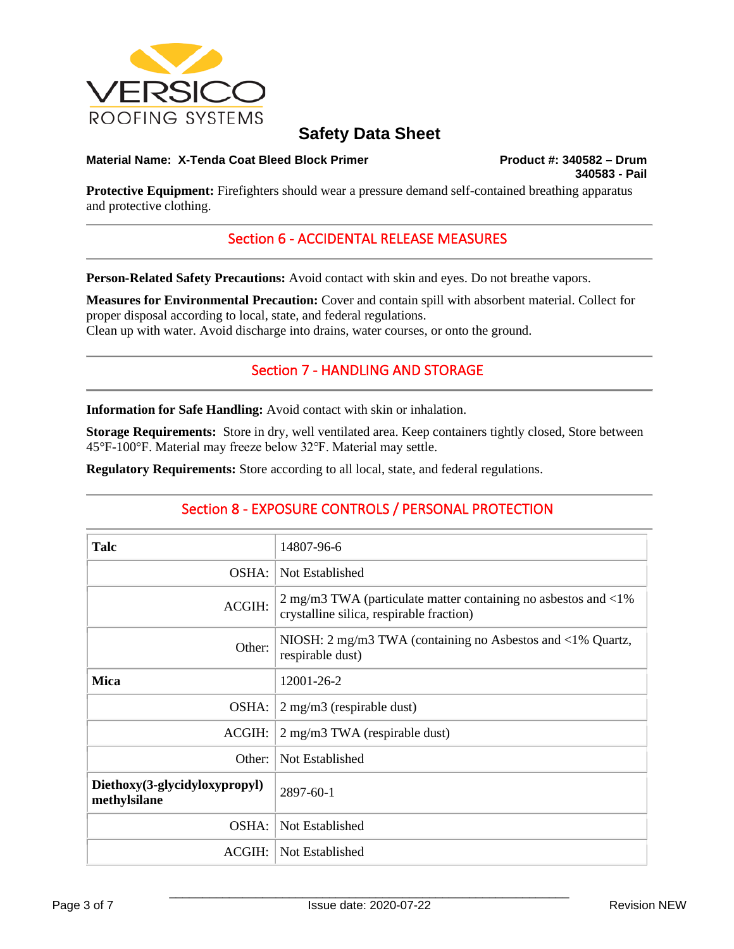

#### **Material Name: X-Tenda Coat Bleed Block Primer Product #: 340582 – Drum**

**340583 - Pail** 

**Protective Equipment:** Firefighters should wear a pressure demand self-contained breathing apparatus and protective clothing.

## Section 6 - ACCIDENTAL RELEASE MEASURES

**Person-Related Safety Precautions:** Avoid contact with skin and eyes. Do not breathe vapors.

**Measures for Environmental Precaution:** Cover and contain spill with absorbent material. Collect for proper disposal according to local, state, and federal regulations. Clean up with water. Avoid discharge into drains, water courses, or onto the ground.

## Section 7 - HANDLING AND STORAGE

**Information for Safe Handling:** Avoid contact with skin or inhalation.

**Storage Requirements:** Store in dry, well ventilated area. Keep containers tightly closed, Store between 45°F-100°F. Material may freeze below 32℉. Material may settle.

**Regulatory Requirements:** Store according to all local, state, and federal regulations.

## Section 8 - EXPOSURE CONTROLS / PERSONAL PROTECTION

| Talc                                          | 14807-96-6                                                                                                                   |
|-----------------------------------------------|------------------------------------------------------------------------------------------------------------------------------|
| OSHA:                                         | Not Established                                                                                                              |
| ACGIH:                                        | 2 mg/m3 TWA (particulate matter containing no asbestos and $\langle 1\% \rangle$<br>crystalline silica, respirable fraction) |
| Other:                                        | NIOSH: 2 mg/m3 TWA (containing no Asbestos and <1% Quartz,<br>respirable dust)                                               |
| <b>Mica</b>                                   | 12001-26-2                                                                                                                   |
| OSHA:                                         | $2 \text{ mg/m}$ (respirable dust)                                                                                           |
| ACGIH:                                        | 2 mg/m3 TWA (respirable dust)                                                                                                |
| Other:                                        | Not Established                                                                                                              |
| Diethoxy(3-glycidyloxypropyl)<br>methylsilane | 2897-60-1                                                                                                                    |
| OSHA:                                         | Not Established                                                                                                              |
| ACGIH:                                        | Not Established                                                                                                              |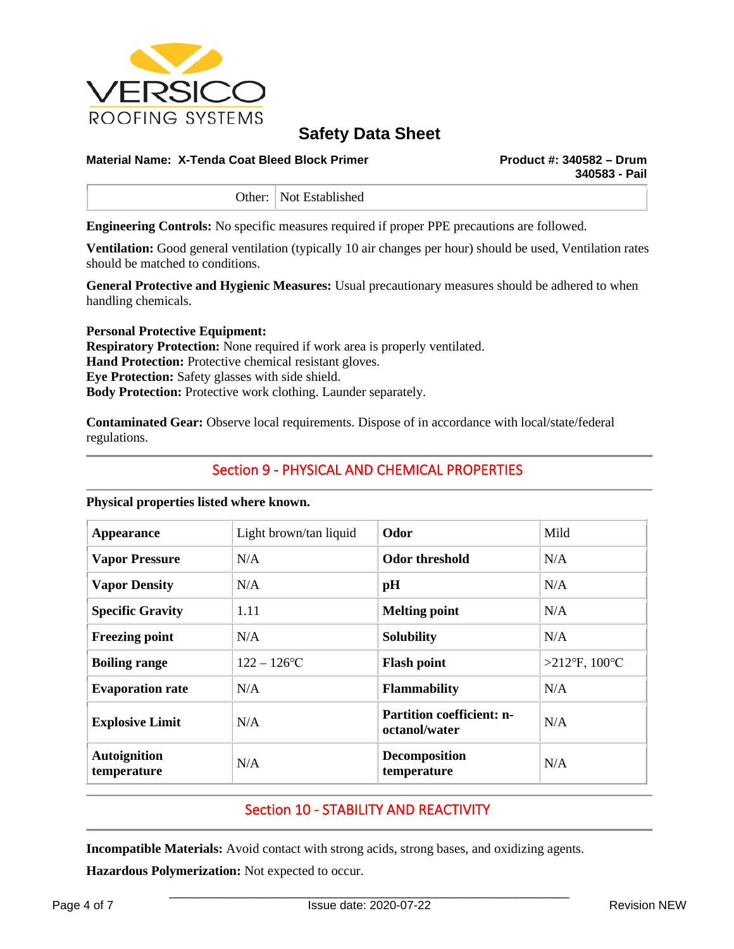

#### **Material Name: X-Tenda Coat Bleed Block Primer Product #: 340582 – Drum**

**340583 - Pail** 

Other: Not Established

**Engineering Controls:** No specific measures required if proper PPE precautions are followed.

**Ventilation:** Good general ventilation (typically 10 air changes per hour) should be used, Ventilation rates should be matched to conditions.

**General Protective and Hygienic Measures:** Usual precautionary measures should be adhered to when handling chemicals.

**Personal Protective Equipment: Respiratory Protection:** None required if work area is properly ventilated. **Hand Protection:** Protective chemical resistant gloves. **Eye Protection:** Safety glasses with side shield. **Body Protection:** Protective work clothing. Launder separately.

**Contaminated Gear:** Observe local requirements. Dispose of in accordance with local/state/federal regulations.

## Section 9 - PHYSICAL AND CHEMICAL PROPERTIES

#### **Physical properties listed where known.**

| <b>Appearance</b>                  | Light brown/tan liquid | Odor                                              | Mild             |
|------------------------------------|------------------------|---------------------------------------------------|------------------|
| <b>Vapor Pressure</b>              | N/A                    | Odor threshold                                    | N/A              |
| <b>Vapor Density</b>               | N/A                    | pH                                                | N/A              |
| <b>Specific Gravity</b>            | 1.11                   | <b>Melting point</b>                              | N/A              |
| <b>Freezing point</b>              | N/A                    | <b>Solubility</b>                                 | N/A              |
| <b>Boiling range</b>               | $122 - 126$ °C         | <b>Flash point</b>                                | >212°F, $100$ °C |
| <b>Evaporation rate</b>            | N/A                    | <b>Flammability</b>                               | N/A              |
| <b>Explosive Limit</b>             | N/A                    | <b>Partition coefficient: n-</b><br>octanol/water | N/A              |
| <b>Autoignition</b><br>temperature | N/A                    | <b>Decomposition</b><br>temperature               | N/A              |

## Section 10 - STABILITY AND REACTIVITY

**Incompatible Materials:** Avoid contact with strong acids, strong bases, and oxidizing agents.

**Hazardous Polymerization:** Not expected to occur.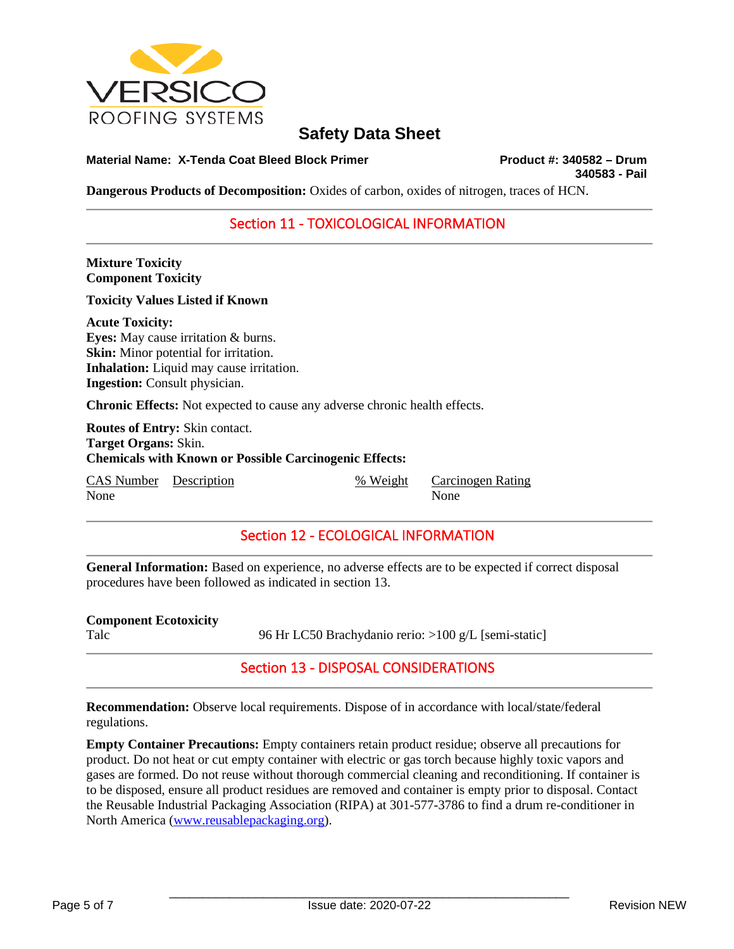

**Material Name: X-Tenda Coat Bleed Block Primer Product #: 340582 – Drum**

**340583 - Pail** 

**Dangerous Products of Decomposition:** Oxides of carbon, oxides of nitrogen, traces of HCN.

## Section 11 - TOXICOLOGICAL INFORMATION

**Mixture Toxicity Component Toxicity**

**Toxicity Values Listed if Known**

**Acute Toxicity: Eyes:** May cause irritation & burns. **Skin:** Minor potential for irritation. **Inhalation:** Liquid may cause irritation. **Ingestion:** Consult physician.

**Chronic Effects:** Not expected to cause any adverse chronic health effects.

**Routes of Entry:** Skin contact. **Target Organs:** Skin. **Chemicals with Known or Possible Carcinogenic Effects:**

CAS Number Description % Weight Carcinogen Rating None None

## Section 12 - ECOLOGICAL INFORMATION

**General Information:** Based on experience, no adverse effects are to be expected if correct disposal procedures have been followed as indicated in section 13.

| <b>Component Ecotoxicity</b> |                                                      |
|------------------------------|------------------------------------------------------|
| Talc                         | 96 Hr LC50 Brachydanio rerio: >100 g/L [semi-static] |

Section 13 - DISPOSAL CONSIDERATIONS

**Recommendation:** Observe local requirements. Dispose of in accordance with local/state/federal regulations.

**Empty Container Precautions:** Empty containers retain product residue; observe all precautions for product. Do not heat or cut empty container with electric or gas torch because highly toxic vapors and gases are formed. Do not reuse without thorough commercial cleaning and reconditioning. If container is to be disposed, ensure all product residues are removed and container is empty prior to disposal. Contact the Reusable Industrial Packaging Association (RIPA) at 301-577-3786 to find a drum re-conditioner in North America [\(www.reusablepackaging.org\)](http://www.reusablepackaging.org/).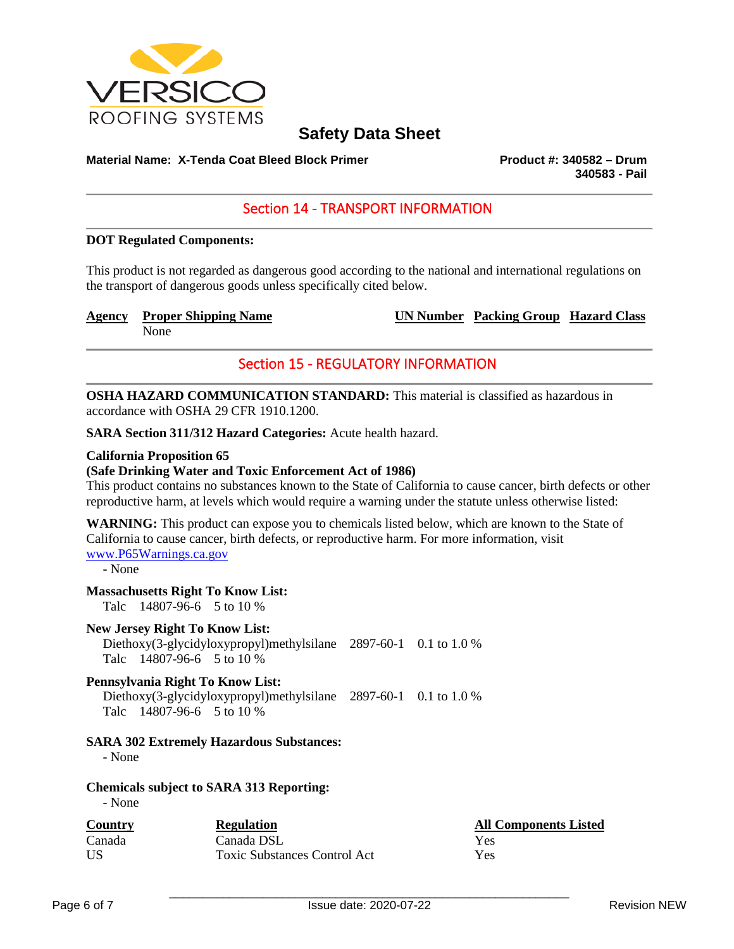

## **Material Name: X-Tenda Coat Bleed Block Primer Product #: 340582 – Drum**

**340583 - Pail** 

## Section 14 - TRANSPORT INFORMATION

#### **DOT Regulated Components:**

This product is not regarded as dangerous good according to the national and international regulations on the transport of dangerous goods unless specifically cited below.

**Agency** Proper Shipping Name UN Number Packing Group Hazard Class

None

## Section 15 - REGULATORY INFORMATION

**OSHA HAZARD COMMUNICATION STANDARD:** This material is classified as hazardous in accordance with OSHA 29 CFR 1910.1200.

**SARA Section 311/312 Hazard Categories:** Acute health hazard.

#### **California Proposition 65**

#### **(Safe Drinking Water and Toxic Enforcement Act of 1986)**

This product contains no substances known to the State of California to cause cancer, birth defects or other reproductive harm, at levels which would require a warning under the statute unless otherwise listed:

**WARNING:** This product can expose you to chemicals listed below, which are known to the State of California to cause cancer, birth defects, or reproductive harm. For more information, visit [www.P65Warnings.ca.gov](http://www.p65warnings.ca.gov/)

- None

#### **Massachusetts Right To Know List:**

Talc 14807-96-6 5 to 10 %

#### **New Jersey Right To Know List:**

 Diethoxy(3-glycidyloxypropyl)methylsilane 2897-60-1 0.1 to 1.0 % Talc 14807-96-6 5 to 10 %

#### **Pennsylvania Right To Know List:**

 Diethoxy(3-glycidyloxypropyl)methylsilane 2897-60-1 0.1 to 1.0 % Talc 14807-96-6 5 to 10 %

#### **SARA 302 Extremely Hazardous Substances:**

- None

#### **Chemicals subject to SARA 313 Reporting:**

- None

| <b>Country</b> | <b>Regulation</b>                   | <b>All Components Listed</b> |
|----------------|-------------------------------------|------------------------------|
| Canada         | Canada DSL                          | Yes                          |
| US             | <b>Toxic Substances Control Act</b> | Yes                          |